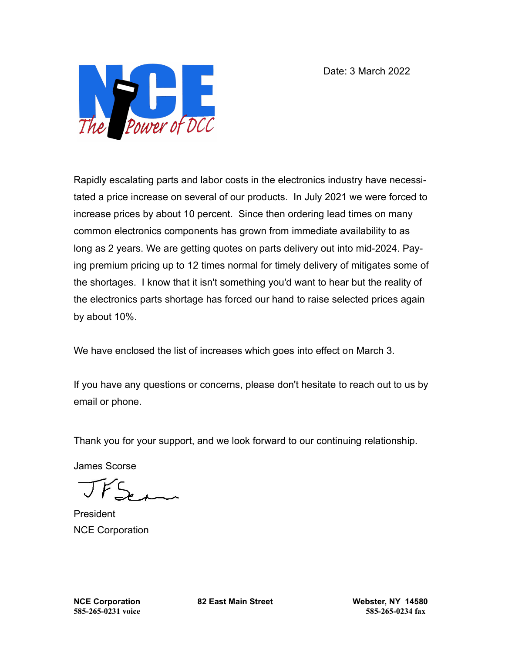Date: 3 March 2022



Rapidly escalating parts and labor costs in the electronics industry have necessitated a price increase on several of our products. In July 2021 we were forced to increase prices by about 10 percent. Since then ordering lead times on many common electronics components has grown from immediate availability to as long as 2 years. We are getting quotes on parts delivery out into mid-2024. Paying premium pricing up to 12 times normal for timely delivery of mitigates some of the shortages. I know that it isn't something you'd want to hear but the reality of the electronics parts shortage has forced our hand to raise selected prices again by about 10%.

We have enclosed the list of increases which goes into effect on March 3.

If you have any questions or concerns, please don't hesitate to reach out to us by email or phone.

Thank you for your support, and we look forward to our continuing relationship.

James Scorse

President NCE Corporation